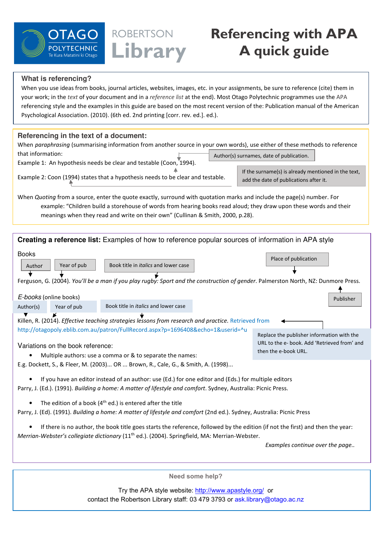

## **Referencing with APA A quick guide**

## **What is referencing?**

When you use ideas from books, journal articles, websites, images, etc. in your assignments, be sure to reference (cite) them in your work; in the text of your document and in a reference list at the end). Most Otago Polytechnic programmes use the APA referencing style and the examples in this guide are based on the most recent version of the: Publication manual of the American Psychological Association. (2010). (6th ed. 2nd printing [corr. rev. ed.]. ed.).

ROBERTSON

Library

## **Referencing in the text of a document:**

When paraphrasing (summarising information from another source in your own words), use either of these methods to reference that information: Author(s) surnames, date of publication.

Example 1: An hypothesis needs be clear and testable (Coon, 1994).

Example 2: Coon (1994) states that a hypothesis needs to be clear and testable. If the surname(s) is already mentioned in the text, add the date of publications after it.

When Quoting from a source, enter the quote exactly, surround with quotation marks and include the page(s) number. For example: "Children build a storehouse of words from hearing books read aloud; they draw upon these words and their meanings when they read and write on their own" (Cullinan & Smith, 2000, p.28).

| Creating a reference list: Examples of how to reference popular sources of information in APA style                                                                                                                                         |                                   |                                                           |  |                                                                                                                                                                         |
|---------------------------------------------------------------------------------------------------------------------------------------------------------------------------------------------------------------------------------------------|-----------------------------------|-----------------------------------------------------------|--|-------------------------------------------------------------------------------------------------------------------------------------------------------------------------|
| <b>Books</b><br>Author<br>E-books (online books)                                                                                                                                                                                            | Year of pub                       | Book title in <i>italics</i> and lower case               |  | Place of publication<br>Ferguson, G. (2004). You'll be a man if you play rugby: Sport and the construction of gender. Palmerston North, NZ: Dunmore Press.<br>Publisher |
| Author(s)                                                                                                                                                                                                                                   | Year of pub                       | Book title in <i>italics</i> and lower case               |  |                                                                                                                                                                         |
| Killen, R. (2014). Effective teaching strategies lessons from research and practice. Retrieved from<br>http://otagopoly.eblib.com.au/patron/FullRecord.aspx?p=1696408&echo=1&userid=^u                                                      |                                   |                                                           |  |                                                                                                                                                                         |
|                                                                                                                                                                                                                                             | Variations on the book reference: | Multiple authors: use a comma or & to separate the names: |  | Replace the publisher information with the<br>URL to the e- book. Add 'Retrieved from' and<br>then the e-book URL.                                                      |
| E.g. Dockett, S., & Fleer, M. (2003) OR  Brown, R., Cale, G., & Smith, A. (1998)                                                                                                                                                            |                                   |                                                           |  |                                                                                                                                                                         |
| If you have an editor instead of an author: use (Ed.) for one editor and (Eds.) for multiple editors<br>Parry, J. (Ed.). (1991). Building a home: A matter of lifestyle and comfort. Sydney, Australia: Picnic Press.                       |                                   |                                                           |  |                                                                                                                                                                         |
| The edition of a book $(4th$ ed.) is entered after the title<br>Parry, J. (Ed). (1991). Building a home: A matter of lifestyle and comfort (2nd ed.). Sydney, Australia: Picnic Press                                                       |                                   |                                                           |  |                                                                                                                                                                         |
| If there is no author, the book title goes starts the reference, followed by the edition (if not the first) and then the year:<br>Merrian-Webster's collegiate dictionary (11 <sup>th</sup> ed.). (2004). Springfield, MA: Merrian-Webster. |                                   |                                                           |  |                                                                                                                                                                         |
| Examples continue over the page                                                                                                                                                                                                             |                                   |                                                           |  |                                                                                                                                                                         |
|                                                                                                                                                                                                                                             |                                   |                                                           |  |                                                                                                                                                                         |
| Need some help?                                                                                                                                                                                                                             |                                   |                                                           |  |                                                                                                                                                                         |

Try the APA style website: http://www.apastyle.org/ or contact the Robertson Library staff: 03 479 3793 or ask.library@otago.ac.nz